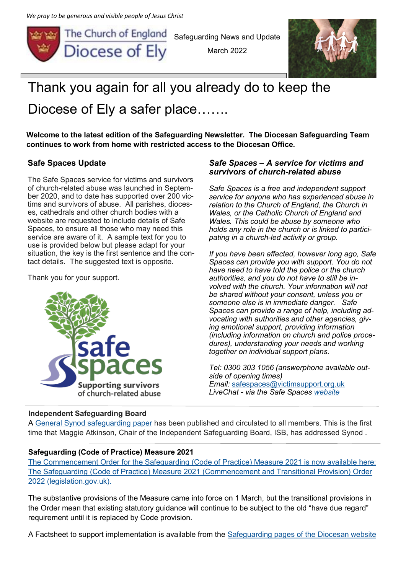*We pray to be generous and visible people of Jesus Christ*



Safeguarding News and Update

March 2022



# Thank you again for all you already do to keep the Diocese of Ely a safer place…….

**Welcome to the latest edition of the Safeguarding Newsletter. The Diocesan Safeguarding Team continues to work from home with restricted access to the Diocesan Office.** 

# **Safe Spaces Update**

The Safe Spaces service for victims and survivors of church-related abuse was launched in September 2020, and to date has supported over 200 victims and survivors of abuse. All parishes, dioceses, cathedrals and other church bodies with a website are requested to include details of Safe Spaces, to ensure all those who may need this service are aware of it. A sample text for you to use is provided below but please adapt for your situation, the key is the first sentence and the contact details. The suggested text is opposite.

Thank you for your support.



#### *Safe Spaces – A service for victims and survivors of church-related abuse*

*Safe Spaces is a free and independent support service for anyone who has experienced abuse in relation to the Church of England, the Church in Wales, or the Catholic Church of England and Wales. This could be abuse by someone who holds any role in the church or is linked to participating in a church-led activity or group.*

*If you have been affected, however long ago, Safe Spaces can provide you with support. You do not have need to have told the police or the church authorities, and you do not have to still be involved with the church. Your information will not be shared without your consent, unless you or someone else is in immediate danger. Safe Spaces can provide a range of help, including advocating with authorities and other agencies, giving emotional support, providing information (including information on church and police procedures), understanding your needs and working together on individual support plans.*

*Tel: 0300 303 1056 (answerphone available outside of opening times) Email:* [safespaces@victimsupport.org.uk](mailto:safespaces@victimsupport.org.uk) *LiveChat - via the Safe Spaces [website](https://www.safespacesenglandandwales.org.uk/)*

#### **Independent Safeguarding Board**

A [General Synod safeguarding paper](https://www.churchofengland.org/sites/default/files/2022-01/GS%202244%20Safeguarding%20February%202022.pdf?mc_cid=c1bf199844&mc_eid=1bba5e0d4e) has been published and circulated to all members. This is the first time that Maggie Atkinson, Chair of the Independent Safeguarding Board, ISB, has addressed Synod .

# **Safeguarding (Code of Practice) Measure 2021**

[The Commencement Order for the Safeguarding \(Code of Practice\) Measure 2021 is now available here:](https://www.legislation.gov.uk/uksi/2022/118/contents/made)  [The Safeguarding \(Code of Practice\) Measure 2021 \(Commencement and Transitional Provision\) Order](https://www.legislation.gov.uk/uksi/2022/118/contents/made)  [2022 \(legislation.gov.uk\).](https://www.legislation.gov.uk/uksi/2022/118/contents/made)

The substantive provisions of the Measure came into force on 1 March, but the transitional provisions in the Order mean that existing statutory guidance will continue to be subject to the old "have due regard" requirement until it is replaced by Code provision.

A Factsheet to support implementation is available from the [Safeguarding pages of the Diocesan website](https://www.elydiocese.org/safeguarding/safeguarding-policies-guidance-and-procedures/)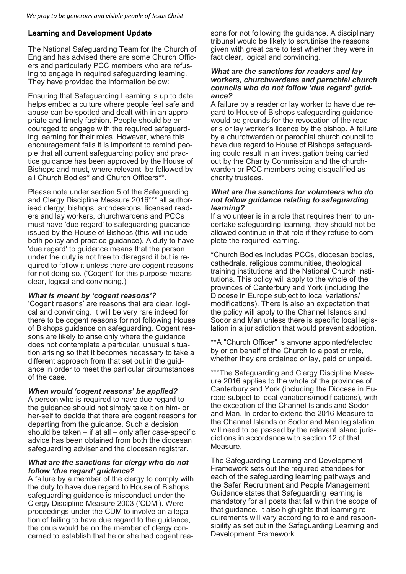#### **Learning and Development Update**

The National Safeguarding Team for the Church of England has advised there are some Church Officers and particularly PCC members who are refusing to engage in required safeguarding learning. They have provided the information below:

Ensuring that Safeguarding Learning is up to date helps embed a culture where people feel safe and abuse can be spotted and dealt with in an appropriate and timely fashion. People should be encouraged to engage with the required safeguarding learning for their roles. However, where this encouragement fails it is important to remind people that all current safeguarding policy and practice guidance has been approved by the House of Bishops and must, where relevant, be followed by all Church Bodies\* and Church Officers\*\*.

Please note under section 5 of the Safeguarding and Clergy Discipline Measure 2016\*\*\* all authorised clergy, bishops, archdeacons, licensed readers and lay workers, churchwardens and PCCs must have 'due regard' to safeguarding guidance issued by the House of Bishops (this will include both policy and practice guidance). A duty to have 'due regard' to guidance means that the person under the duty is not free to disregard it but is required to follow it unless there are cogent reasons for not doing so. ('Cogent' for this purpose means clear, logical and convincing.)

#### *What is meant by 'cogent reasons'?*

'Cogent reasons' are reasons that are clear, logical and convincing. It will be very rare indeed for there to be cogent reasons for not following House of Bishops guidance on safeguarding. Cogent reasons are likely to arise only where the guidance does not contemplate a particular, unusual situation arising so that it becomes necessary to take a different approach from that set out in the guidance in order to meet the particular circumstances of the case.

#### *When would 'cogent reasons' be applied?*

A person who is required to have due regard to the guidance should not simply take it on him- or her-self to decide that there are cogent reasons for departing from the guidance. Such a decision should be taken – if at all – only after case-specific advice has been obtained from both the diocesan safeguarding adviser and the diocesan registrar.

#### *What are the sanctions for clergy who do not follow 'due regard' guidance?*

A failure by a member of the clergy to comply with the duty to have due regard to House of Bishops safeguarding guidance is misconduct under the Clergy Discipline Measure 2003 ('CDM'). Were proceedings under the CDM to involve an allegation of failing to have due regard to the guidance, the onus would be on the member of clergy concerned to establish that he or she had cogent rea-

sons for not following the guidance. A disciplinary tribunal would be likely to scrutinise the reasons given with great care to test whether they were in fact clear, logical and convincing.

#### *What are the sanctions for readers and lay workers, churchwardens and parochial church councils who do not follow 'due regard' guidance?*

A failure by a reader or lay worker to have due regard to House of Bishops safeguarding guidance would be grounds for the revocation of the reader's or lay worker's licence by the bishop. A failure by a churchwarden or parochial church council to have due regard to House of Bishops safeguarding could result in an investigation being carried out by the Charity Commission and the churchwarden or PCC members being disqualified as charity trustees.

#### *What are the sanctions for volunteers who do not follow guidance relating to safeguarding learning?*

If a volunteer is in a role that requires them to undertake safeguarding learning, they should not be allowed continue in that role if they refuse to complete the required learning.

\*Church Bodies includes PCCs, diocesan bodies, cathedrals, religious communities, theological training institutions and the National Church Institutions. This policy will apply to the whole of the provinces of Canterbury and York (including the Diocese in Europe subject to local variations/ modifications). There is also an expectation that the policy will apply to the Channel Islands and Sodor and Man unless there is specific local legislation in a jurisdiction that would prevent adoption.

\*\*A "Church Officer" is anyone appointed/elected by or on behalf of the Church to a post or role, whether they are ordained or lay, paid or unpaid.

\*\*\*The Safeguarding and Clergy Discipline Measure 2016 applies to the whole of the provinces of Canterbury and York (including the Diocese in Europe subject to local variations/modifications), with the exception of the Channel Islands and Sodor and Man. In order to extend the 2016 Measure to the Channel Islands or Sodor and Man legislation will need to be passed by the relevant island jurisdictions in accordance with section 12 of that Measure.

The Safeguarding Learning and Development Framework sets out the required attendees for each of the safeguarding learning pathways and the Safer Recruitment and People Management Guidance states that Safeguarding learning is mandatory for all posts that fall within the scope of that guidance. It also highlights that learning requirements will vary according to role and responsibility as set out in the Safeguarding Learning and Development Framework.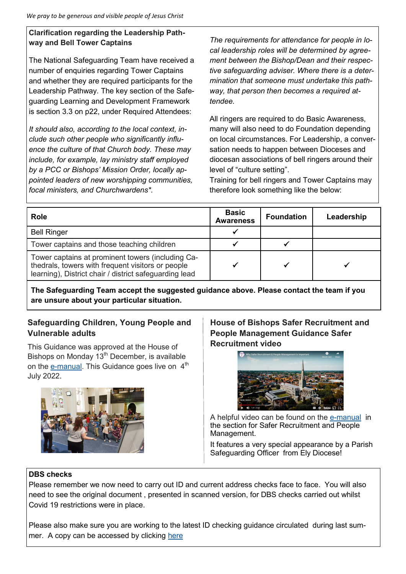# **Clarification regarding the Leadership Pathway and Bell Tower Captains**

The National Safeguarding Team have received a number of enquiries regarding Tower Captains and whether they are required participants for the Leadership Pathway. The key section of the Safeguarding Learning and Development Framework is section 3.3 on p22, under Required Attendees:

*It should also, according to the local context, include such other people who significantly influence the culture of that Church body. These may include, for example, lay ministry staff employed by a PCC or Bishops' Mission Order, locally appointed leaders of new worshipping communities, focal ministers, and Churchwardens\*.* 

*The requirements for attendance for people in local leadership roles will be determined by agreement between the Bishop/Dean and their respective safeguarding adviser. Where there is a determination that someone must undertake this pathway, that person then becomes a required attendee.*

All ringers are required to do Basic Awareness, many will also need to do Foundation depending on local circumstances. For Leadership, a conversation needs to happen between Dioceses and diocesan associations of bell ringers around their level of "culture setting".

Training for bell ringers and Tower Captains may therefore look something like the below:

| <b>Role</b>                                                                                                                                                      | <b>Basic</b><br><b>Awareness</b> | <b>Foundation</b> | Leadership |
|------------------------------------------------------------------------------------------------------------------------------------------------------------------|----------------------------------|-------------------|------------|
| <b>Bell Ringer</b>                                                                                                                                               |                                  |                   |            |
| Tower captains and those teaching children                                                                                                                       |                                  |                   |            |
| Tower captains at prominent towers (including Ca-<br>thedrals, towers with frequent visitors or people<br>learning), District chair / district safeguarding lead |                                  |                   |            |

**The Safeguarding Team accept the suggested guidance above. Please contact the team if you are unsure about your particular situation.**

# **Safeguarding Children, Young People and Vulnerable adults**

This Guidance was approved at the House of Bishops on Monday  $13<sup>th</sup>$  December, is available on the e-[manual.](https://www.churchofengland.org/safeguarding/safeguarding-e-manual) This Guidance goes live on  $4<sup>th</sup>$ July 2022.



**House of Bishops Safer Recruitment and People Management Guidance Safer Recruitment video**



A helpful video can be found on the e-[manual](https://www.churchofengland.org/safeguarding/safeguarding-e-manual/safer-recruitment-and-people-management-guidance) in the section for Safer Recruitment and People Management.

It features a very special appearance by a Parish Safeguarding Officer from Ely Diocese!

#### **DBS checks**

Please remember we now need to carry out ID and current address checks face to face. You will also need to see the original document , presented in scanned version, for DBS checks carried out whilst Covid 19 restrictions were in place.

Please also make sure you are working to the latest ID checking guidance circulated during last summer. A copy can be accessed by clicking [here](https://d3hgrlq6yacptf.cloudfront.net/5f0f7281dadce/content/pages/documents/dbs-id-checking-guidance-august-2021.pdf)